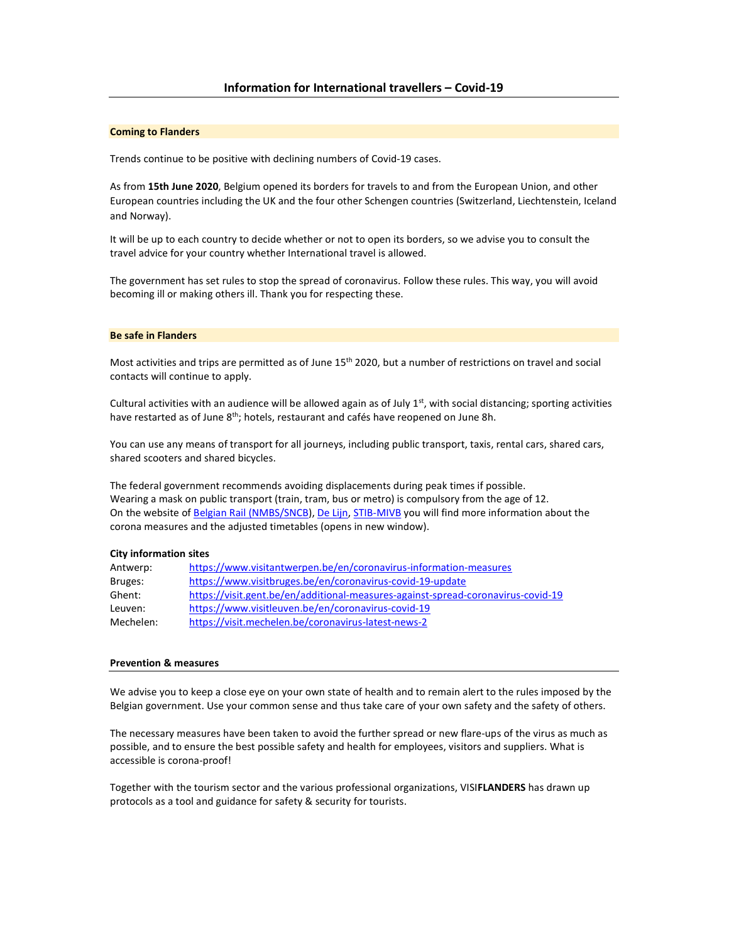### Coming to Flanders

Trends continue to be positive with declining numbers of Covid-19 cases.

As from 15th June 2020, Belgium opened its borders for travels to and from the European Union, and other European countries including the UK and the four other Schengen countries (Switzerland, Liechtenstein, Iceland and Norway).

It will be up to each country to decide whether or not to open its borders, so we advise you to consult the travel advice for your country whether International travel is allowed.

The government has set rules to stop the spread of coronavirus. Follow these rules. This way, you will avoid becoming ill or making others ill. Thank you for respecting these.

### Be safe in Flanders

Most activities and trips are permitted as of June 15th 2020, but a number of restrictions on travel and social contacts will continue to apply.

Cultural activities with an audience will be allowed again as of July  $1<sup>st</sup>$ , with social distancing; sporting activities have restarted as of June 8<sup>th</sup>; hotels, restaurant and cafés have reopened on June 8h.

You can use any means of transport for all journeys, including public transport, taxis, rental cars, shared cars, shared scooters and shared bicycles.

The federal government recommends avoiding displacements during peak times if possible. Wearing a mask on public transport (train, tram, bus or metro) is compulsory from the age of 12. On the website of Belgian Rail (NMBS/SNCB), De Lijn, STIB-MIVB you will find more information about the corona measures and the adjusted timetables (opens in new window).

#### City information sites

| Antwerp:  | https://www.visitantwerpen.be/en/coronavirus-information-measures                |
|-----------|----------------------------------------------------------------------------------|
| Bruges:   | https://www.visitbruges.be/en/coronavirus-covid-19-update                        |
| Ghent:    | https://visit.gent.be/en/additional-measures-against-spread-coronavirus-covid-19 |
| Leuven:   | https://www.visitleuven.be/en/coronavirus-covid-19                               |
| Mechelen: | https://visit.mechelen.be/coronavirus-latest-news-2                              |

### Prevention & measures

We advise you to keep a close eye on your own state of health and to remain alert to the rules imposed by the Belgian government. Use your common sense and thus take care of your own safety and the safety of others.

The necessary measures have been taken to avoid the further spread or new flare-ups of the virus as much as possible, and to ensure the best possible safety and health for employees, visitors and suppliers. What is accessible is corona-proof!

Together with the tourism sector and the various professional organizations, VISIFLANDERS has drawn up protocols as a tool and guidance for safety & security for tourists.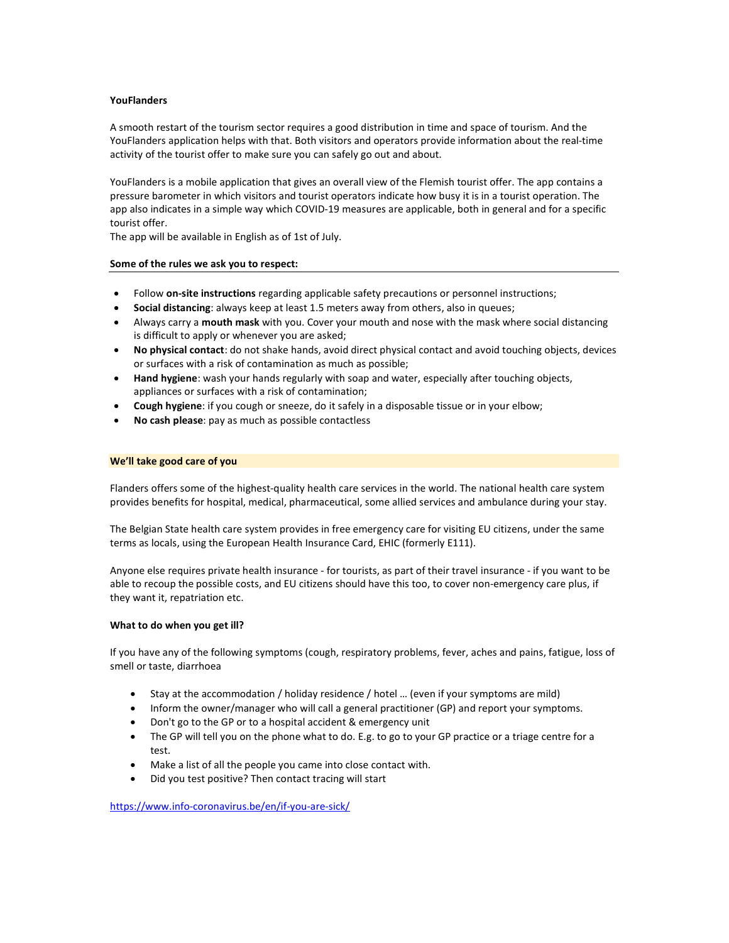## YouFlanders

A smooth restart of the tourism sector requires a good distribution in time and space of tourism. And the YouFlanders application helps with that. Both visitors and operators provide information about the real-time activity of the tourist offer to make sure you can safely go out and about.

YouFlanders is a mobile application that gives an overall view of the Flemish tourist offer. The app contains a pressure barometer in which visitors and tourist operators indicate how busy it is in a tourist operation. The app also indicates in a simple way which COVID-19 measures are applicable, both in general and for a specific tourist offer.

The app will be available in English as of 1st of July.

## Some of the rules we ask you to respect:

- Follow on-site instructions regarding applicable safety precautions or personnel instructions;
- Social distancing: always keep at least 1.5 meters away from others, also in queues;
- Always carry a mouth mask with you. Cover your mouth and nose with the mask where social distancing is difficult to apply or whenever you are asked;
- No physical contact: do not shake hands, avoid direct physical contact and avoid touching objects, devices or surfaces with a risk of contamination as much as possible;
- Hand hygiene: wash your hands regularly with soap and water, especially after touching objects, appliances or surfaces with a risk of contamination;
- Cough hygiene: if you cough or sneeze, do it safely in a disposable tissue or in your elbow;
- No cash please: pay as much as possible contactless

### We'll take good care of you

Flanders offers some of the highest-quality health care services in the world. The national health care system provides benefits for hospital, medical, pharmaceutical, some allied services and ambulance during your stay.

The Belgian State health care system provides in free emergency care for visiting EU citizens, under the same terms as locals, using the European Health Insurance Card, EHIC (formerly E111).

Anyone else requires private health insurance - for tourists, as part of their travel insurance - if you want to be able to recoup the possible costs, and EU citizens should have this too, to cover non-emergency care plus, if they want it, repatriation etc.

### What to do when you get ill?

If you have any of the following symptoms (cough, respiratory problems, fever, aches and pains, fatigue, loss of smell or taste, diarrhoea

- Stay at the accommodation / holiday residence / hotel … (even if your symptoms are mild)
- Inform the owner/manager who will call a general practitioner (GP) and report your symptoms.
- Don't go to the GP or to a hospital accident & emergency unit
- The GP will tell you on the phone what to do. E.g. to go to your GP practice or a triage centre for a test.
- Make a list of all the people you came into close contact with.
- Did you test positive? Then contact tracing will start

https://www.info-coronavirus.be/en/if-you-are-sick/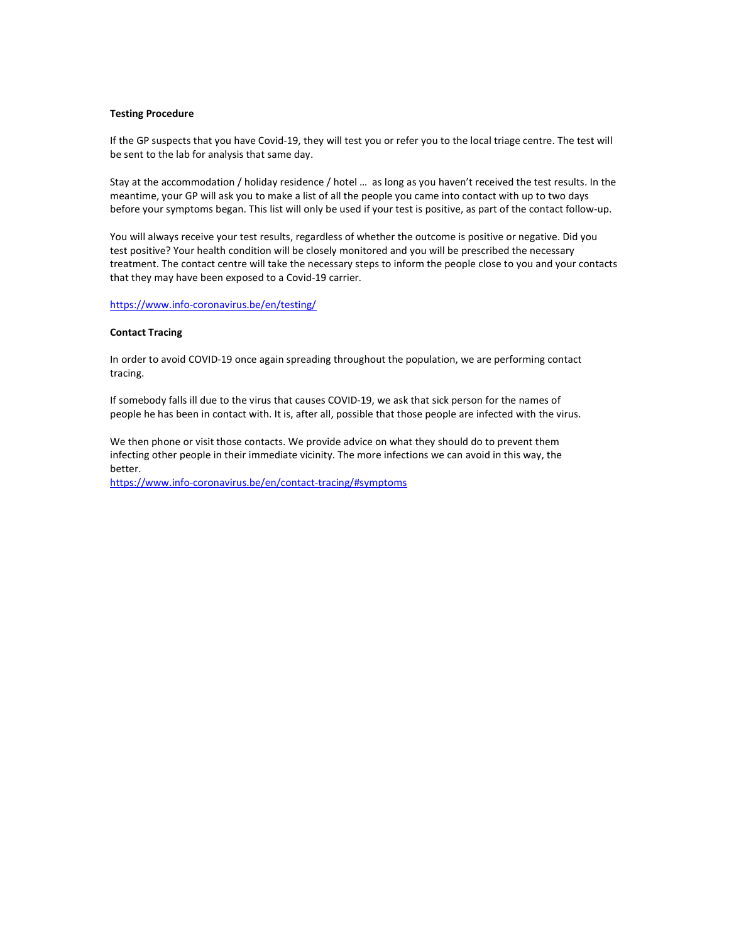## Testing Procedure

If the GP suspects that you have Covid-19, they will test you or refer you to the local triage centre. The test will be sent to the lab for analysis that same day.

Stay at the accommodation / holiday residence / hotel … as long as you haven't received the test results. In the meantime, your GP will ask you to make a list of all the people you came into contact with up to two days before your symptoms began. This list will only be used if your test is positive, as part of the contact follow-up.

You will always receive your test results, regardless of whether the outcome is positive or negative. Did you test positive? Your health condition will be closely monitored and you will be prescribed the necessary treatment. The contact centre will take the necessary steps to inform the people close to you and your contacts that they may have been exposed to a Covid-19 carrier.

### https://www.info-coronavirus.be/en/testing/

## Contact Tracing

In order to avoid COVID-19 once again spreading throughout the population, we are performing contact tracing.

If somebody falls ill due to the virus that causes COVID-19, we ask that sick person for the names of people he has been in contact with. It is, after all, possible that those people are infected with the virus.

We then phone or visit those contacts. We provide advice on what they should do to prevent them infecting other people in their immediate vicinity. The more infections we can avoid in this way, the better.

https://www.info-coronavirus.be/en/contact-tracing/#symptoms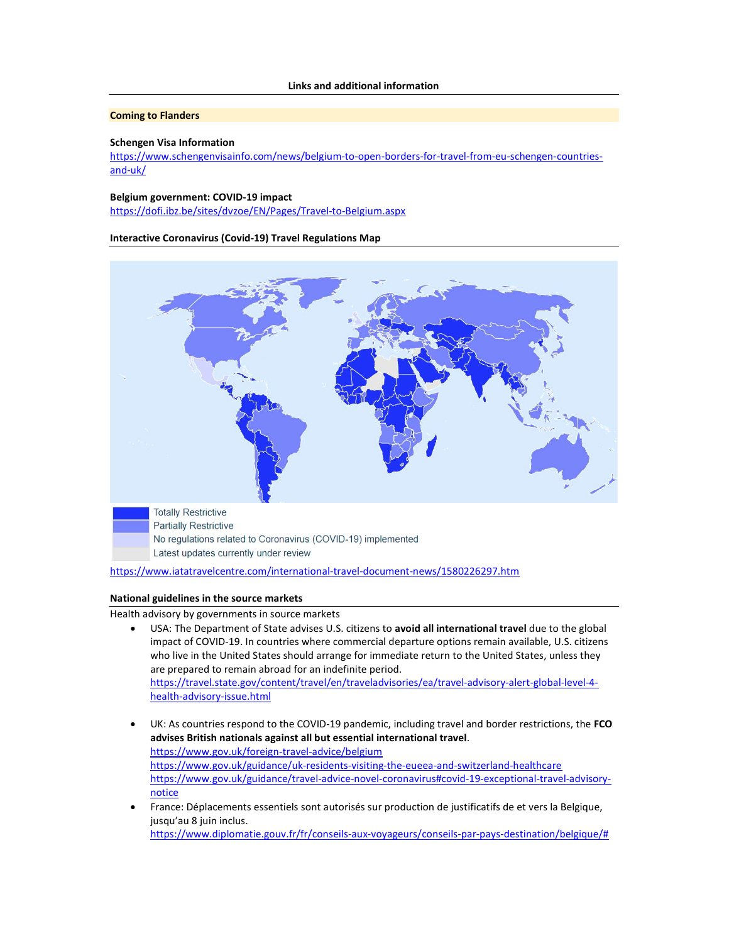## Coming to Flanders

### Schengen Visa Information

https://www.schengenvisainfo.com/news/belgium-to-open-borders-for-travel-from-eu-schengen-countriesand-uk/

## Belgium government: COVID-19 impact

https://dofi.ibz.be/sites/dvzoe/EN/Pages/Travel-to-Belgium.aspx

Interactive Coronavirus (Covid-19) Travel Regulations Map



https://www.iatatravelcentre.com/international-travel-document-news/1580226297.htm

#### National guidelines in the source markets

Health advisory by governments in source markets

- USA: The Department of State advises U.S. citizens to avoid all international travel due to the global impact of COVID-19. In countries where commercial departure options remain available, U.S. citizens who live in the United States should arrange for immediate return to the United States, unless they are prepared to remain abroad for an indefinite period. https://travel.state.gov/content/travel/en/traveladvisories/ea/travel-advisory-alert-global-level-4 health-advisory-issue.html
- UK: As countries respond to the COVID-19 pandemic, including travel and border restrictions, the FCO advises British nationals against all but essential international travel. https://www.gov.uk/foreign-travel-advice/belgium https://www.gov.uk/guidance/uk-residents-visiting-the-eueea-and-switzerland-healthcare https://www.gov.uk/guidance/travel-advice-novel-coronavirus#covid-19-exceptional-travel-advisorynotice
- France: Déplacements essentiels sont autorisés sur production de justificatifs de et vers la Belgique, jusqu'au 8 juin inclus. https://www.diplomatie.gouv.fr/fr/conseils-aux-voyageurs/conseils-par-pays-destination/belgique/#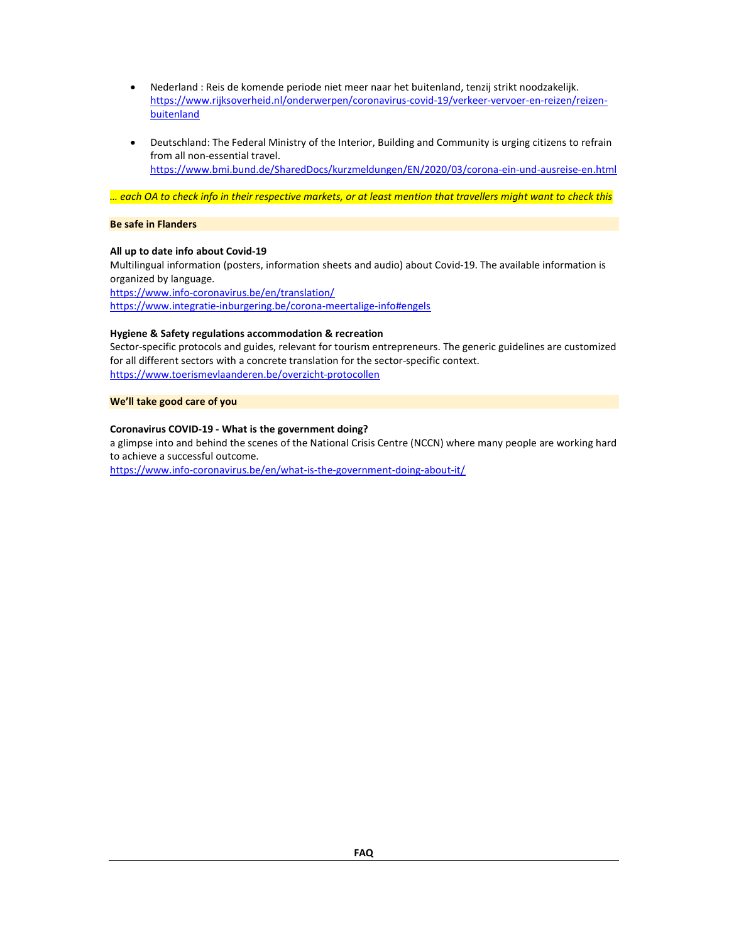- Nederland : Reis de komende periode niet meer naar het buitenland, tenzij strikt noodzakelijk. https://www.rijksoverheid.nl/onderwerpen/coronavirus-covid-19/verkeer-vervoer-en-reizen/reizenbuitenland
- Deutschland: The Federal Ministry of the Interior, Building and Community is urging citizens to refrain from all non-essential travel. https://www.bmi.bund.de/SharedDocs/kurzmeldungen/EN/2020/03/corona-ein-und-ausreise-en.html

… each OA to check info in their respective markets, or at least mention that travellers might want to check this

## Be safe in Flanders

# All up to date info about Covid-19

Multilingual information (posters, information sheets and audio) about Covid-19. The available information is organized by language.

https://www.info-coronavirus.be/en/translation/ https://www.integratie-inburgering.be/corona-meertalige-info#engels

## Hygiene & Safety regulations accommodation & recreation

Sector-specific protocols and guides, relevant for tourism entrepreneurs. The generic guidelines are customized for all different sectors with a concrete translation for the sector-specific context. https://www.toerismevlaanderen.be/overzicht-protocollen

We'll take good care of you

## Coronavirus COVID-19 - What is the government doing?

a glimpse into and behind the scenes of the National Crisis Centre (NCCN) where many people are working hard to achieve a successful outcome.

https://www.info-coronavirus.be/en/what-is-the-government-doing-about-it/